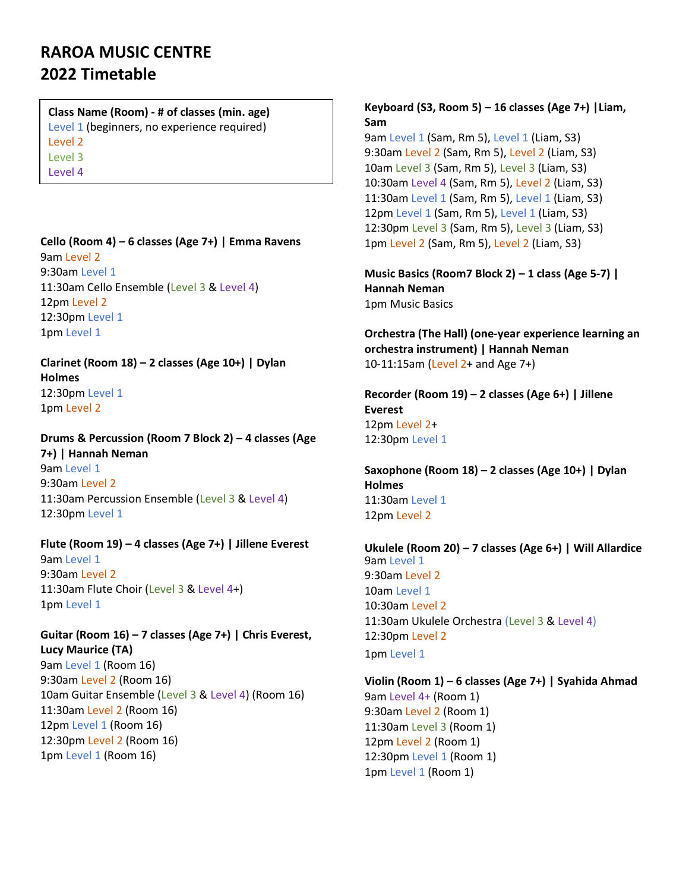## **RAROA MUSIC CENTRE 2022 Timetable**

## **Class Name (Room) - # of classes (min. age)**

Level 1 (beginners, no experience required)

Level 2

Level 3

Level 4

#### **Cello (Room 4) – 6 classes (Age 7+) | Emma Ravens** 9am Level 2

9:30am Level 1 11:30am Cello Ensemble (Level 3 & Level 4) 12pm Level 2 12:30pm Level 1 1pm Level 1

**Clarinet (Room 18) – 2 classes (Age 10+) | Dylan Holmes** 12:30pm Level 1 1pm Level 2

**Drums & Percussion (Room 7 Block 2) – 4 classes (Age 7+) | Hannah Neman**  9am Level 1 9:30am Level 2 11:30am Percussion Ensemble (Level 3 & Level 4) 12:30pm Level 1

## **Flute (Room 19) – 4 classes (Age 7+) | Jillene Everest**

9am Level 1 9:30am Level 2 11:30am Flute Choir (Level 3 & Level 4+) 1pm Level 1

**Guitar (Room 16) – 7 classes (Age 7+) | Chris Everest, Lucy Maurice (TA)** 9am Level 1 (Room 16) 9:30am Level 2 (Room 16) 10am Guitar Ensemble (Level 3 & Level 4) (Room 16) 11:30am Level 2 (Room 16) 12pm Level 1 (Room 16) 12:30pm Level 2 (Room 16) 1pm Level 1 (Room 16)

### **Keyboard (S3, Room 5) – 16 classes (Age 7+) |Liam, Sam**

9am Level 1 (Sam, Rm 5), Level 1 (Liam, S3) 9:30am Level 2 (Sam, Rm 5), Level 2 (Liam, S3) 10am Level 3 (Sam, Rm 5), Level 3 (Liam, S3) 10:30am Level 4 (Sam, Rm 5), Level 2 (Liam, S3) 11:30am Level 1 (Sam, Rm 5), Level 1 (Liam, S3) 12pm Level 1 (Sam, Rm 5), Level 1 (Liam, S3) 12:30pm Level 3 (Sam, Rm 5), Level 3 (Liam, S3) 1pm Level 2 (Sam, Rm 5), Level 2 (Liam, S3)

**Music Basics (Room7 Block 2) – 1 class (Age 5-7) | Hannah Neman**  1pm Music Basics

**Orchestra (The Hall) (one-year experience learning an orchestra instrument) | Hannah Neman**  10-11:15am (Level 2+ and Age 7+)

**Recorder (Room 19) – 2 classes (Age 6+) | Jillene Everest** 12pm Level 2+ 12:30pm Level 1

**Saxophone (Room 18) – 2 classes (Age 10+) | Dylan Holmes**  11:30am Level 1 12pm Level 2

#### **Ukulele (Room 20) – 7 classes (Age 6+) | Will Allardice**  9am Level 1 9:30am Level 2 10am Level 1 10:30am Level 2 11:30am Ukulele Orchestra (Level 3 & Level 4) 12:30pm Level 2 1pm Level 1

**Violin (Room 1) – 6 classes (Age 7+) | Syahida Ahmad**  9am Level 4+ (Room 1) 9:30am Level 2 (Room 1) 11:30am Level 3 (Room 1) 12pm Level 2 (Room 1) 12:30pm Level 1 (Room 1) 1pm Level 1 (Room 1)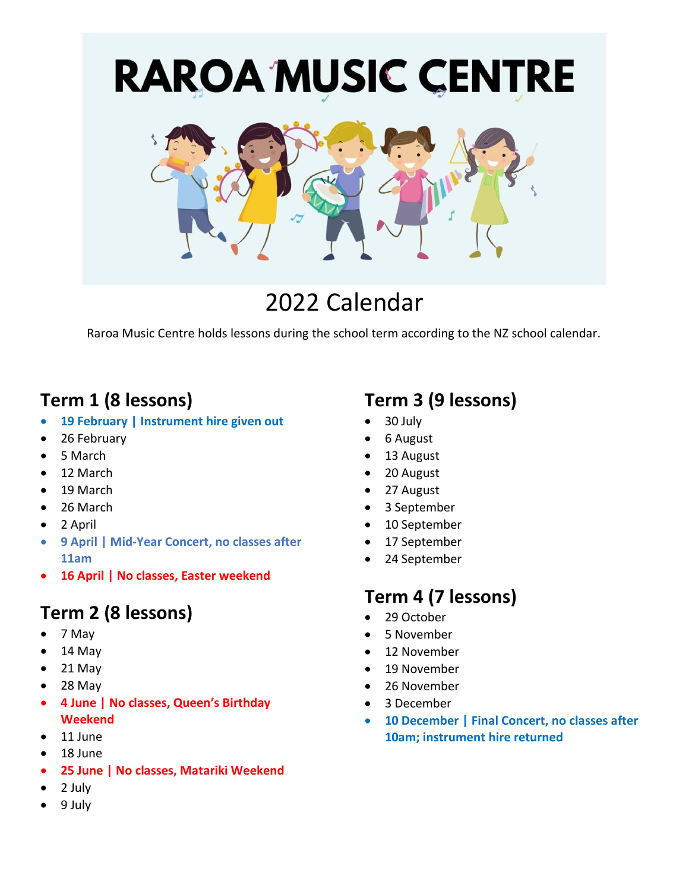

# 2022 Calendar

Raroa Music Centre holds lessons during the school term according to the NZ school calendar.

## **Term 1 (8 lessons)**

- **19 February | Instrument hire given out**
- 26 February
- 5 March
- 12 March
- 19 March
- 26 March
- 2 April
- **9 April | Mid-Year Concert, no classes after 11am**
- **16 April | No classes, Easter weekend**

# **Term 2 (8 lessons)**

- 7 May
- 14 May
- $\bullet$  21 May
- $28$  May
- **4 June | No classes, Queen's Birthday Weekend**
- 11 June
- 18 June
- **25 June | No classes, Matariki Weekend**
- 2 July
- 9 July

## **Term 3 (9 lessons)**

- 30 July
- 6 August
- 13 August
- 20 August
- 27 August
- 3 September
- 10 September
- 17 September
- 24 September

## **Term 4 (7 lessons)**

- 29 October
- 5 November
- 12 November
- 19 November
- 26 November
- 3 December
- **10 December | Final Concert, no classes after 10am; instrument hire returned**